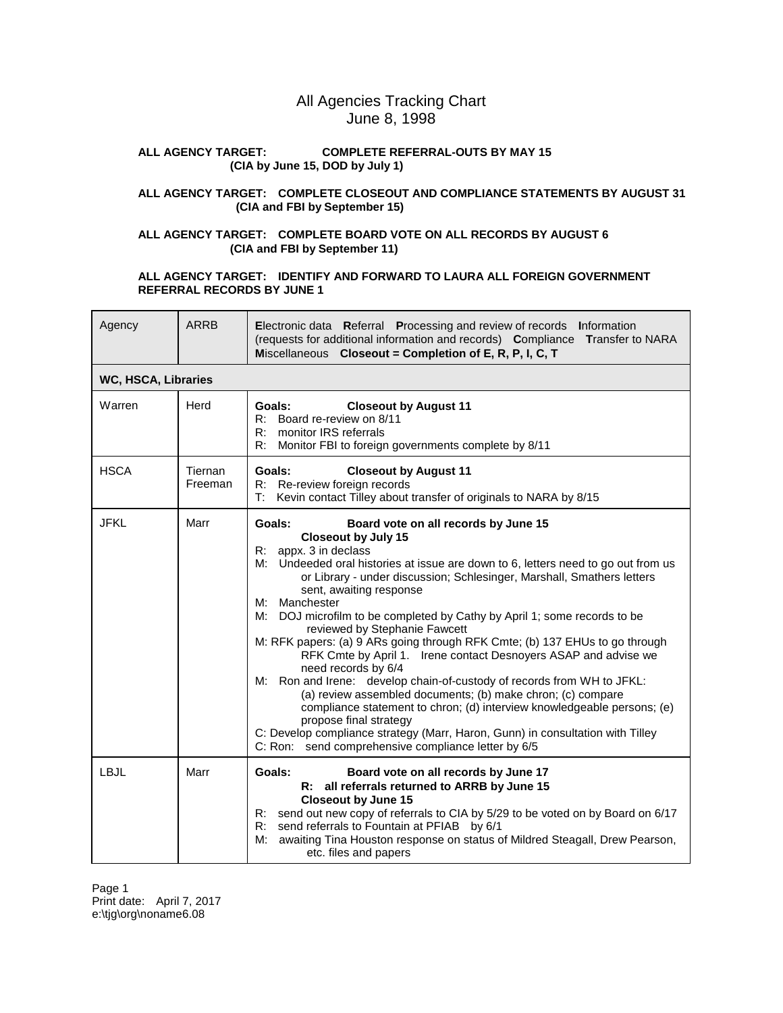# All Agencies Tracking Chart June 8, 1998

### **ALL AGENCY TARGET: COMPLETE REFERRAL-OUTS BY MAY 15 (CIA by June 15, DOD by July 1)**

## **ALL AGENCY TARGET: COMPLETE CLOSEOUT AND COMPLIANCE STATEMENTS BY AUGUST 31 (CIA and FBI by September 15)**

## **ALL AGENCY TARGET: COMPLETE BOARD VOTE ON ALL RECORDS BY AUGUST 6 (CIA and FBI by September 11)**

### **ALL AGENCY TARGET: IDENTIFY AND FORWARD TO LAURA ALL FOREIGN GOVERNMENT REFERRAL RECORDS BY JUNE 1**

| Agency      | <b>ARRB</b>         | <b>Electronic data</b> Referral Processing and review of records Information<br>(requests for additional information and records) Compliance Transfer to NARA<br>Miscellaneous Closeout = Completion of E, R, P, I, C, T                                                                                                                                                                                                                                                                                                                                                                                                                                                                                                                                                                                                                                                                                                                                                                                     |  |  |  |
|-------------|---------------------|--------------------------------------------------------------------------------------------------------------------------------------------------------------------------------------------------------------------------------------------------------------------------------------------------------------------------------------------------------------------------------------------------------------------------------------------------------------------------------------------------------------------------------------------------------------------------------------------------------------------------------------------------------------------------------------------------------------------------------------------------------------------------------------------------------------------------------------------------------------------------------------------------------------------------------------------------------------------------------------------------------------|--|--|--|
|             | WC, HSCA, Libraries |                                                                                                                                                                                                                                                                                                                                                                                                                                                                                                                                                                                                                                                                                                                                                                                                                                                                                                                                                                                                              |  |  |  |
| Warren      | Herd                | <b>Closeout by August 11</b><br>Goals:<br>R: Board re-review on 8/11<br>monitor IRS referrals<br>R:<br>Monitor FBI to foreign governments complete by 8/11<br>R:                                                                                                                                                                                                                                                                                                                                                                                                                                                                                                                                                                                                                                                                                                                                                                                                                                             |  |  |  |
| <b>HSCA</b> | Tiernan<br>Freeman  | Goals:<br><b>Closeout by August 11</b><br>R: Re-review foreign records<br>Kevin contact Tilley about transfer of originals to NARA by 8/15<br>T:                                                                                                                                                                                                                                                                                                                                                                                                                                                                                                                                                                                                                                                                                                                                                                                                                                                             |  |  |  |
| <b>JFKL</b> | Marr                | Goals:<br>Board vote on all records by June 15<br><b>Closeout by July 15</b><br>appx. 3 in declass<br>R:<br>Undeeded oral histories at issue are down to 6, letters need to go out from us<br>M:<br>or Library - under discussion; Schlesinger, Marshall, Smathers letters<br>sent, awaiting response<br>Manchester<br>M:<br>M:<br>DOJ microfilm to be completed by Cathy by April 1; some records to be<br>reviewed by Stephanie Fawcett<br>M: RFK papers: (a) 9 ARs going through RFK Cmte; (b) 137 EHUs to go through<br>RFK Cmte by April 1. Irene contact Desnoyers ASAP and advise we<br>need records by 6/4<br>Ron and Irene: develop chain-of-custody of records from WH to JFKL:<br>M:<br>(a) review assembled documents; (b) make chron; (c) compare<br>compliance statement to chron; (d) interview knowledgeable persons; (e)<br>propose final strategy<br>C: Develop compliance strategy (Marr, Haron, Gunn) in consultation with Tilley<br>C: Ron: send comprehensive compliance letter by 6/5 |  |  |  |
| <b>LBJL</b> | Marr                | Goals:<br>Board vote on all records by June 17<br>R: all referrals returned to ARRB by June 15<br><b>Closeout by June 15</b><br>R: send out new copy of referrals to CIA by 5/29 to be voted on by Board on 6/17<br>send referrals to Fountain at PFIAB by 6/1<br>R:<br>awaiting Tina Houston response on status of Mildred Steagall, Drew Pearson,<br>М:<br>etc. files and papers                                                                                                                                                                                                                                                                                                                                                                                                                                                                                                                                                                                                                           |  |  |  |

Page 1 Print date: April 7, 2017 e:\tjg\org\noname6.08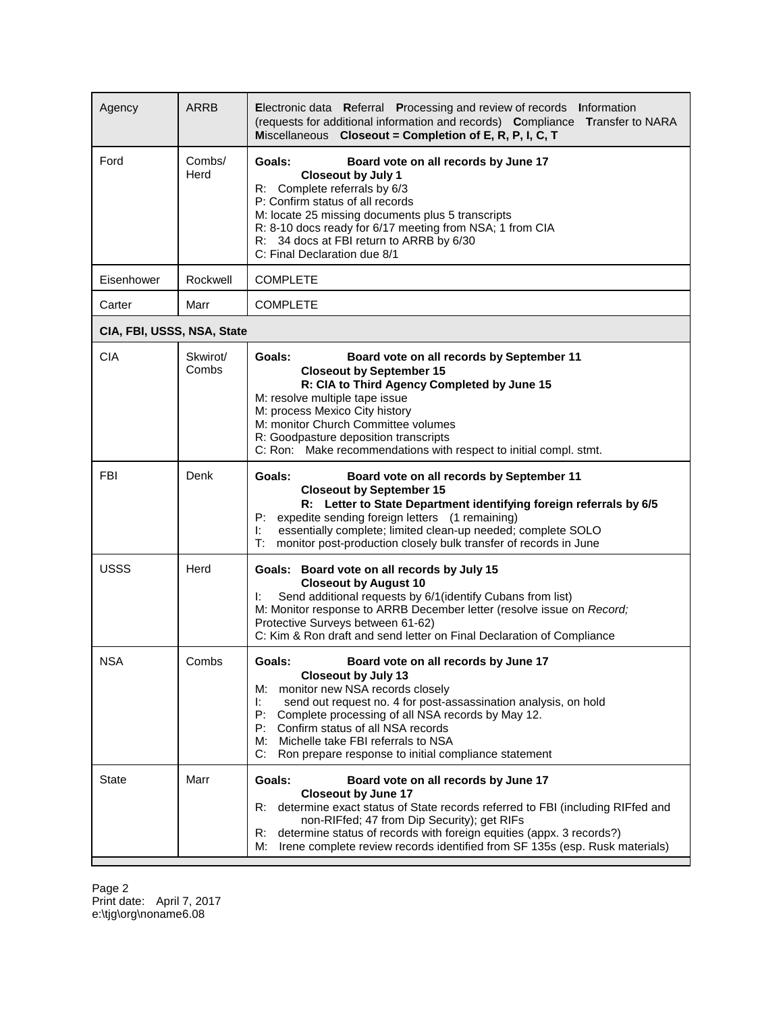| Agency                     | <b>ARRB</b>       | Electronic data Referral Processing and review of records Information<br>(requests for additional information and records) Compliance Transfer to NARA<br>Miscellaneous Closeout = Completion of E, R, P, I, C, T                                                                                                                                                                                     |
|----------------------------|-------------------|-------------------------------------------------------------------------------------------------------------------------------------------------------------------------------------------------------------------------------------------------------------------------------------------------------------------------------------------------------------------------------------------------------|
| Ford                       | Combs/<br>Herd    | Goals:<br>Board vote on all records by June 17<br><b>Closeout by July 1</b><br>R: Complete referrals by 6/3<br>P: Confirm status of all records<br>M: locate 25 missing documents plus 5 transcripts<br>R: 8-10 docs ready for 6/17 meeting from NSA; 1 from CIA<br>R: 34 docs at FBI return to ARRB by 6/30<br>C: Final Declaration due 8/1                                                          |
| Eisenhower                 | Rockwell          | <b>COMPLETE</b>                                                                                                                                                                                                                                                                                                                                                                                       |
| Carter                     | Marr              | <b>COMPLETE</b>                                                                                                                                                                                                                                                                                                                                                                                       |
| CIA, FBI, USSS, NSA, State |                   |                                                                                                                                                                                                                                                                                                                                                                                                       |
| <b>CIA</b>                 | Skwirot/<br>Combs | Goals:<br>Board vote on all records by September 11<br><b>Closeout by September 15</b><br>R: CIA to Third Agency Completed by June 15<br>M: resolve multiple tape issue<br>M: process Mexico City history<br>M: monitor Church Committee volumes<br>R: Goodpasture deposition transcripts<br>C: Ron: Make recommendations with respect to initial compl. stmt.                                        |
| <b>FBI</b>                 | Denk              | <b>Goals:</b><br>Board vote on all records by September 11<br><b>Closeout by September 15</b><br>R: Letter to State Department identifying foreign referrals by 6/5<br>expedite sending foreign letters (1 remaining)<br>P:<br>essentially complete; limited clean-up needed; complete SOLO<br>ŀ.<br>monitor post-production closely bulk transfer of records in June<br>т:                           |
| <b>USSS</b>                | Herd              | Goals: Board vote on all records by July 15<br><b>Closeout by August 10</b><br>Send additional requests by 6/1 (identify Cubans from list)<br>ŀ.<br>M: Monitor response to ARRB December letter (resolve issue on Record;<br>Protective Surveys between 61-62)<br>C: Kim & Ron draft and send letter on Final Declaration of Compliance                                                               |
| <b>NSA</b>                 | Combs             | Board vote on all records by June 17<br>Goals:<br><b>Closeout by July 13</b><br>M: monitor new NSA records closely<br>send out request no. 4 for post-assassination analysis, on hold<br>Ŀ.<br>P:<br>Complete processing of all NSA records by May 12.<br>P: Confirm status of all NSA records<br>M: Michelle take FBI referrals to NSA<br>C:<br>Ron prepare response to initial compliance statement |
| <b>State</b>               | Marr              | Board vote on all records by June 17<br>Goals:<br><b>Closeout by June 17</b><br>determine exact status of State records referred to FBI (including RIFfed and<br>R:<br>non-RIFfed; 47 from Dip Security); get RIFs<br>R:<br>determine status of records with foreign equities (appx. 3 records?)<br>Irene complete review records identified from SF 135s (esp. Rusk materials)<br>М:                 |

Page 2 Print date: April 7, 2017 e:\tjg\org\noname6.08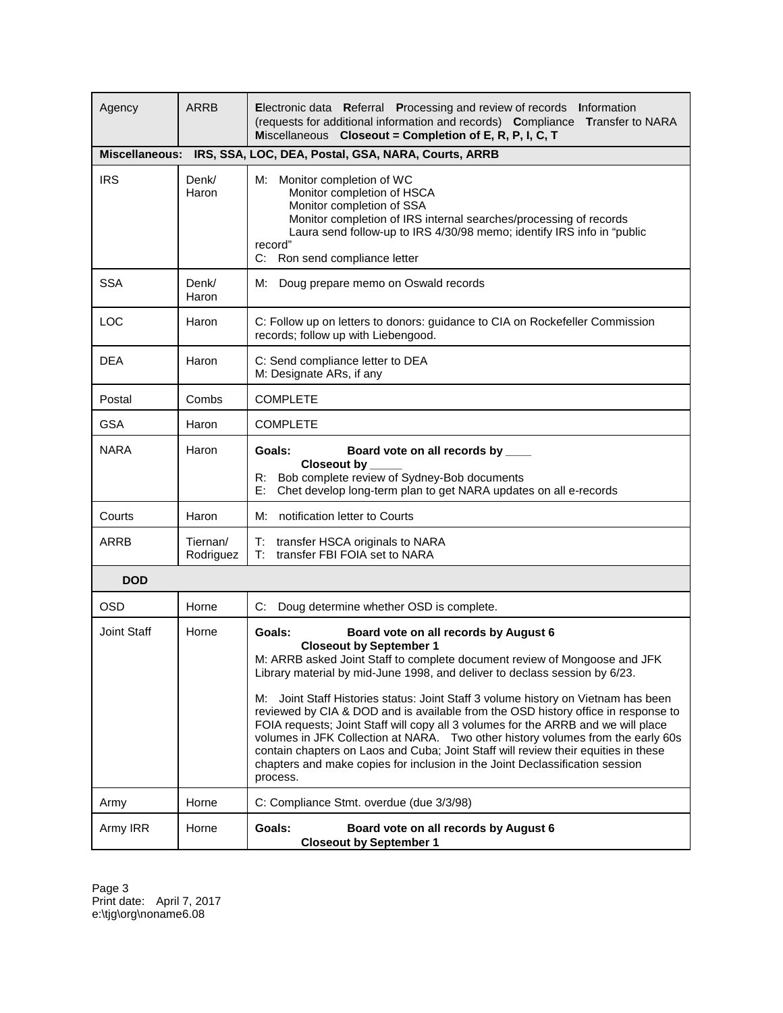| Agency             | <b>ARRB</b>           | Electronic data Referral Processing and review of records Information<br>(requests for additional information and records) Compliance Transfer to NARA<br>Miscellaneous Closeout = Completion of E, R, P, I, C, T                                                                                                                                                                                                                                                                                                                                                                                                                                                                                                                                                                   |  |  |
|--------------------|-----------------------|-------------------------------------------------------------------------------------------------------------------------------------------------------------------------------------------------------------------------------------------------------------------------------------------------------------------------------------------------------------------------------------------------------------------------------------------------------------------------------------------------------------------------------------------------------------------------------------------------------------------------------------------------------------------------------------------------------------------------------------------------------------------------------------|--|--|
|                    |                       | Miscellaneous: IRS, SSA, LOC, DEA, Postal, GSA, NARA, Courts, ARRB                                                                                                                                                                                                                                                                                                                                                                                                                                                                                                                                                                                                                                                                                                                  |  |  |
| <b>IRS</b>         | Denk/<br>Haron        | M: Monitor completion of WC<br>Monitor completion of HSCA<br>Monitor completion of SSA<br>Monitor completion of IRS internal searches/processing of records<br>Laura send follow-up to IRS 4/30/98 memo; identify IRS info in "public<br>record"<br>C: Ron send compliance letter                                                                                                                                                                                                                                                                                                                                                                                                                                                                                                   |  |  |
| <b>SSA</b>         | Denk/<br>Haron        | M: Doug prepare memo on Oswald records                                                                                                                                                                                                                                                                                                                                                                                                                                                                                                                                                                                                                                                                                                                                              |  |  |
| LOC                | Haron                 | C: Follow up on letters to donors: guidance to CIA on Rockefeller Commission<br>records; follow up with Liebengood.                                                                                                                                                                                                                                                                                                                                                                                                                                                                                                                                                                                                                                                                 |  |  |
| DEA                | Haron                 | C: Send compliance letter to DEA<br>M: Designate ARs, if any                                                                                                                                                                                                                                                                                                                                                                                                                                                                                                                                                                                                                                                                                                                        |  |  |
| Postal             | Combs                 | <b>COMPLETE</b>                                                                                                                                                                                                                                                                                                                                                                                                                                                                                                                                                                                                                                                                                                                                                                     |  |  |
| <b>GSA</b>         | Haron                 | <b>COMPLETE</b>                                                                                                                                                                                                                                                                                                                                                                                                                                                                                                                                                                                                                                                                                                                                                                     |  |  |
| <b>NARA</b>        | Haron                 | Goals:<br>Board vote on all records by ____<br>Closeout by<br>Bob complete review of Sydney-Bob documents<br>R:<br>Chet develop long-term plan to get NARA updates on all e-records<br>E:                                                                                                                                                                                                                                                                                                                                                                                                                                                                                                                                                                                           |  |  |
| Courts             | Haron                 | M: notification letter to Courts                                                                                                                                                                                                                                                                                                                                                                                                                                                                                                                                                                                                                                                                                                                                                    |  |  |
| <b>ARRB</b>        | Tiernan/<br>Rodriguez | T: transfer HSCA originals to NARA<br>transfer FBI FOIA set to NARA<br>T:                                                                                                                                                                                                                                                                                                                                                                                                                                                                                                                                                                                                                                                                                                           |  |  |
| <b>DOD</b>         |                       |                                                                                                                                                                                                                                                                                                                                                                                                                                                                                                                                                                                                                                                                                                                                                                                     |  |  |
| <b>OSD</b>         | Horne                 | C: Doug determine whether OSD is complete.                                                                                                                                                                                                                                                                                                                                                                                                                                                                                                                                                                                                                                                                                                                                          |  |  |
| <b>Joint Staff</b> | Horne                 | Goals:<br>Board vote on all records by August 6<br><b>Closeout by September 1</b><br>M: ARRB asked Joint Staff to complete document review of Mongoose and JFK<br>Library material by mid-June 1998, and deliver to declass session by 6/23.<br>Joint Staff Histories status: Joint Staff 3 volume history on Vietnam has been<br>M:<br>reviewed by CIA & DOD and is available from the OSD history office in response to<br>FOIA requests; Joint Staff will copy all 3 volumes for the ARRB and we will place<br>volumes in JFK Collection at NARA. Two other history volumes from the early 60s<br>contain chapters on Laos and Cuba; Joint Staff will review their equities in these<br>chapters and make copies for inclusion in the Joint Declassification session<br>process. |  |  |
| Army               | Horne                 | C: Compliance Stmt. overdue (due 3/3/98)                                                                                                                                                                                                                                                                                                                                                                                                                                                                                                                                                                                                                                                                                                                                            |  |  |
| Army IRR           | Horne                 | Goals:<br>Board vote on all records by August 6<br><b>Closeout by September 1</b>                                                                                                                                                                                                                                                                                                                                                                                                                                                                                                                                                                                                                                                                                                   |  |  |

Page 3 Print date: April 7, 2017 e:\tjg\org\noname6.08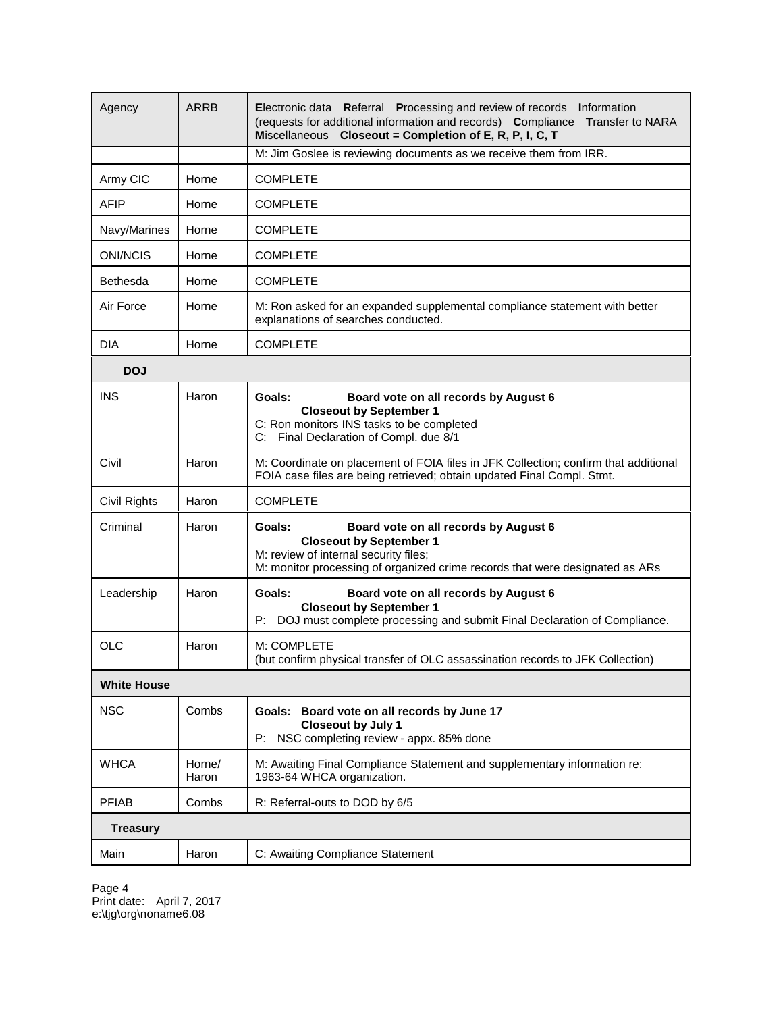| Agency             | ARRB            | Electronic data Referral Processing and review of records Information<br>(requests for additional information and records) Compliance Transfer to NARA<br>Miscellaneous Closeout = Completion of E, R, P, I, C, T |  |  |
|--------------------|-----------------|-------------------------------------------------------------------------------------------------------------------------------------------------------------------------------------------------------------------|--|--|
|                    |                 | M: Jim Goslee is reviewing documents as we receive them from IRR.                                                                                                                                                 |  |  |
| Army CIC           | Horne           | <b>COMPLETE</b>                                                                                                                                                                                                   |  |  |
| <b>AFIP</b>        | Horne           | <b>COMPLETE</b>                                                                                                                                                                                                   |  |  |
| Navy/Marines       | Horne           | <b>COMPLETE</b>                                                                                                                                                                                                   |  |  |
| <b>ONI/NCIS</b>    | Horne           | <b>COMPLETE</b>                                                                                                                                                                                                   |  |  |
| Bethesda           | Horne           | <b>COMPLETE</b>                                                                                                                                                                                                   |  |  |
| Air Force          | Horne           | M: Ron asked for an expanded supplemental compliance statement with better<br>explanations of searches conducted.                                                                                                 |  |  |
| <b>DIA</b>         | Horne           | <b>COMPLETE</b>                                                                                                                                                                                                   |  |  |
| <b>DOJ</b>         |                 |                                                                                                                                                                                                                   |  |  |
| <b>INS</b>         | Haron           | Goals:<br>Board vote on all records by August 6<br><b>Closeout by September 1</b><br>C: Ron monitors INS tasks to be completed<br>C: Final Declaration of Compl. due 8/1                                          |  |  |
| Civil              | Haron           | M: Coordinate on placement of FOIA files in JFK Collection; confirm that additional<br>FOIA case files are being retrieved; obtain updated Final Compl. Stmt.                                                     |  |  |
| Civil Rights       | Haron           | <b>COMPLETE</b>                                                                                                                                                                                                   |  |  |
| Criminal           | Haron           | Goals:<br>Board vote on all records by August 6<br><b>Closeout by September 1</b><br>M: review of internal security files;<br>M: monitor processing of organized crime records that were designated as ARs        |  |  |
| Leadership         | Haron           | Goals:<br>Board vote on all records by August 6<br><b>Closeout by September 1</b><br>DOJ must complete processing and submit Final Declaration of Compliance.<br>P:                                               |  |  |
| <b>OLC</b>         | Haron           | M: COMPLETE<br>(but confirm physical transfer of OLC assassination records to JFK Collection)                                                                                                                     |  |  |
| <b>White House</b> |                 |                                                                                                                                                                                                                   |  |  |
| <b>NSC</b>         | Combs           | Goals: Board vote on all records by June 17<br><b>Closeout by July 1</b><br>NSC completing review - appx. 85% done<br>P:                                                                                          |  |  |
| <b>WHCA</b>        | Horne/<br>Haron | M: Awaiting Final Compliance Statement and supplementary information re:<br>1963-64 WHCA organization.                                                                                                            |  |  |
| <b>PFIAB</b>       | Combs           | R: Referral-outs to DOD by 6/5                                                                                                                                                                                    |  |  |
| <b>Treasury</b>    |                 |                                                                                                                                                                                                                   |  |  |
| Main               | Haron           | C: Awaiting Compliance Statement                                                                                                                                                                                  |  |  |

Page 4 Print date: April 7, 2017 e:\tjg\org\noname6.08